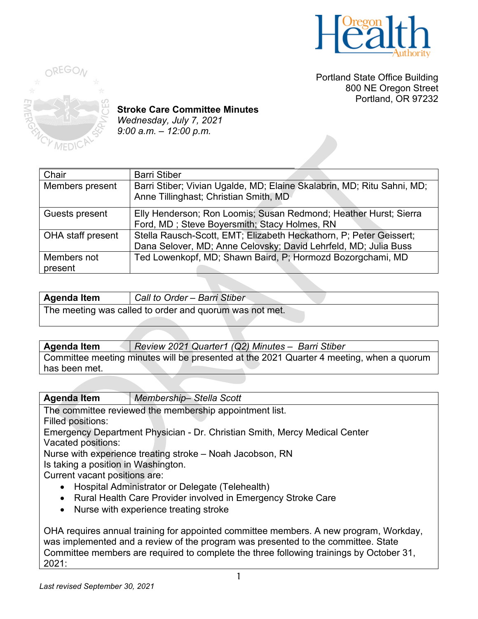

Portland State Office Building 800 NE Oregon Street Portland, OR 97232



**Stroke Care Committee Minutes** *Wednesday, July 7, 2021 9:00 a.m. – 12:00 p.m.* 

| Chair             | <b>Barri Stiber</b>                                                    |
|-------------------|------------------------------------------------------------------------|
| Members present   | Barri Stiber; Vivian Ugalde, MD; Elaine Skalabrin, MD; Ritu Sahni, MD; |
|                   | Anne Tillinghast; Christian Smith, MD                                  |
|                   |                                                                        |
| Guests present    | Elly Henderson; Ron Loomis; Susan Redmond; Heather Hurst; Sierra       |
|                   | Ford, MD; Steve Boyersmith; Stacy Holmes, RN                           |
| OHA staff present | Stella Rausch-Scott, EMT; Elizabeth Heckathorn, P; Peter Geissert;     |
|                   | Dana Selover, MD; Anne Celovsky; David Lehrfeld, MD; Julia Buss        |
| Members not       | Ted Lowenkopf, MD; Shawn Baird, P; Hormozd Bozorgchami, MD             |
| present           |                                                                        |

| <b>Agenda Item</b>                                      | Call to Order - Barri Stiber |
|---------------------------------------------------------|------------------------------|
| The meeting was called to order and quorum was not met. |                              |

**Agenda Item** *Review 2021 Quarter1 (Q2) Minutes – Barri Stiber* Committee meeting minutes will be presented at the 2021 Quarter 4 meeting, when a quorum has been met.

**Agenda Item** *Membership– Stella Scott* The committee reviewed the membership appointment list. Filled positions: Emergency Department Physician - Dr. Christian Smith, Mercy Medical Center Vacated positions: Nurse with experience treating stroke – Noah Jacobson, RN Is taking a position in Washington. Current vacant positions are: • Hospital Administrator or Delegate (Telehealth) • Rural Health Care Provider involved in Emergency Stroke Care • Nurse with experience treating stroke

OHA requires annual training for appointed committee members. A new program, Workday, was implemented and a review of the program was presented to the committee. State Committee members are required to complete the three following trainings by October 31, 2021: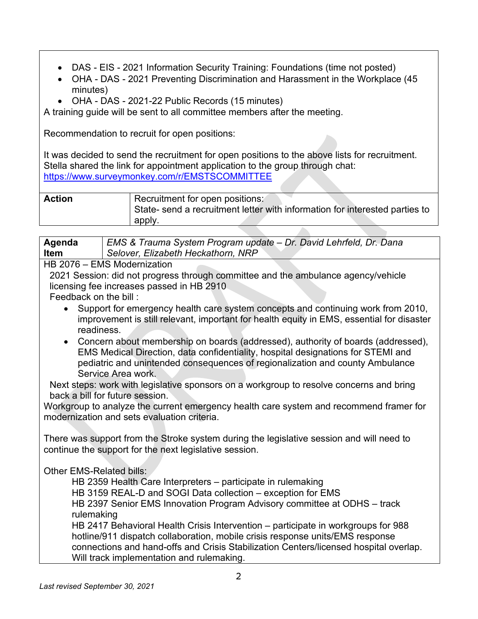- DAS EIS 2021 Information Security Training: Foundations (time not posted)
- OHA DAS 2021 Preventing Discrimination and Harassment in the Workplace (45 minutes)
- OHA DAS 2021-22 Public Records (15 minutes)

A training guide will be sent to all committee members after the meeting.

Recommendation to recruit for open positions:

It was decided to send the recruitment for open positions to the above lists for recruitment. Stella shared the link for appointment application to the group through chat: <https://www.surveymonkey.com/r/EMSTSCOMMITTEE>

| <b>Action</b> | Recruitment for open positions:                                             |
|---------------|-----------------------------------------------------------------------------|
|               | State- send a recruitment letter with information for interested parties to |
|               | apply                                                                       |

| Agenda                         | EMS & Trauma System Program update – Dr. David Lehrfeld, Dr. Dana |
|--------------------------------|-------------------------------------------------------------------|
| <b>Item</b>                    | Selover, Elizabeth Heckathorn, NRP                                |
| $\overline{11}$ $\overline{0}$ | $\Gamma$ MC Modernitan                                            |

HB 2076 – EMS Modernization

2021 Session: did not progress through committee and the ambulance agency/vehicle licensing fee increases passed in HB 2910

Feedback on the bill :

- Support for emergency health care system concepts and continuing work from 2010, improvement is still relevant, important for health equity in EMS, essential for disaster readiness.
- Concern about membership on boards (addressed), authority of boards (addressed), EMS Medical Direction, data confidentiality, hospital designations for STEMI and pediatric and unintended consequences of regionalization and county Ambulance Service Area work.

Next steps: work with legislative sponsors on a workgroup to resolve concerns and bring back a bill for future session.

Workgroup to analyze the current emergency health care system and recommend framer for modernization and sets evaluation criteria.

There was support from the Stroke system during the legislative session and will need to continue the support for the next legislative session.

Other EMS-Related bills:

HB 2359 Health Care Interpreters – participate in rulemaking

HB 3159 REAL-D and SOGI Data collection – exception for EMS

HB 2397 Senior EMS Innovation Program Advisory committee at ODHS – track rulemaking

HB 2417 Behavioral Health Crisis Intervention – participate in workgroups for 988 hotline/911 dispatch collaboration, mobile crisis response units/EMS response connections and hand-offs and Crisis Stabilization Centers/licensed hospital overlap. Will track implementation and rulemaking.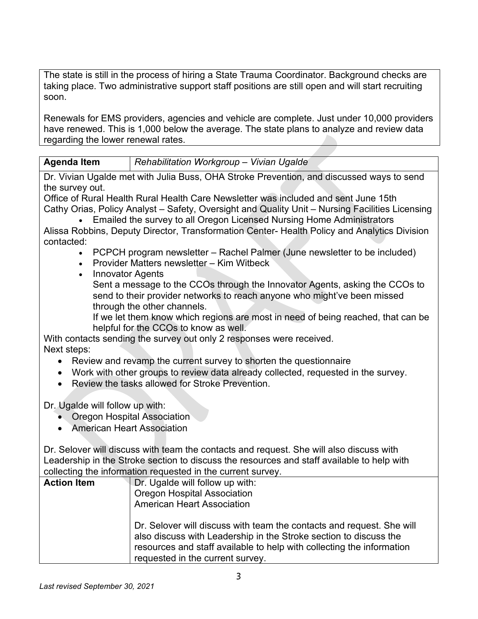The state is still in the process of hiring a State Trauma Coordinator. Background checks are taking place. Two administrative support staff positions are still open and will start recruiting soon.

Renewals for EMS providers, agencies and vehicle are complete. Just under 10,000 providers have renewed. This is 1,000 below the average. The state plans to analyze and review data regarding the lower renewal rates.

| <b>Agenda Item</b> | Rehabilitation Workgroup - Vivian Ugalde |  |
|--------------------|------------------------------------------|--|

Dr. Vivian Ugalde met with Julia Buss, OHA Stroke Prevention, and discussed ways to send the survey out.

Office of Rural Health Rural Health Care Newsletter was included and sent June 15th Cathy Orias, Policy Analyst – Safety, Oversight and Quality Unit – Nursing Facilities Licensing

• Emailed the survey to all Oregon Licensed Nursing Home Administrators Alissa Robbins, Deputy Director, Transformation Center- Health Policy and Analytics Division contacted:

- PCPCH program newsletter Rachel Palmer (June newsletter to be included)
- Provider Matters newsletter Kim Witbeck
- Innovator Agents

Sent a message to the CCOs through the Innovator Agents, asking the CCOs to send to their provider networks to reach anyone who might've been missed through the other channels.

If we let them know which regions are most in need of being reached, that can be helpful for the CCOs to know as well.

With contacts sending the survey out only 2 responses were received. Next steps:

- Review and revamp the current survey to shorten the questionnaire
- Work with other groups to review data already collected, requested in the survey.
- Review the tasks allowed for Stroke Prevention.

Dr. Ugalde will follow up with:

- Oregon Hospital Association
- American Heart Association

Dr. Selover will discuss with team the contacts and request. She will also discuss with Leadership in the Stroke section to discuss the resources and staff available to help with collecting the information requested in the current survey.

| <b>Action Item</b> | Dr. Ugalde will follow up with:<br><b>Oregon Hospital Association</b><br><b>American Heart Association</b>                                                                                                                                              |
|--------------------|---------------------------------------------------------------------------------------------------------------------------------------------------------------------------------------------------------------------------------------------------------|
|                    | Dr. Selover will discuss with team the contacts and request. She will<br>also discuss with Leadership in the Stroke section to discuss the<br>resources and staff available to help with collecting the information<br>requested in the current survey. |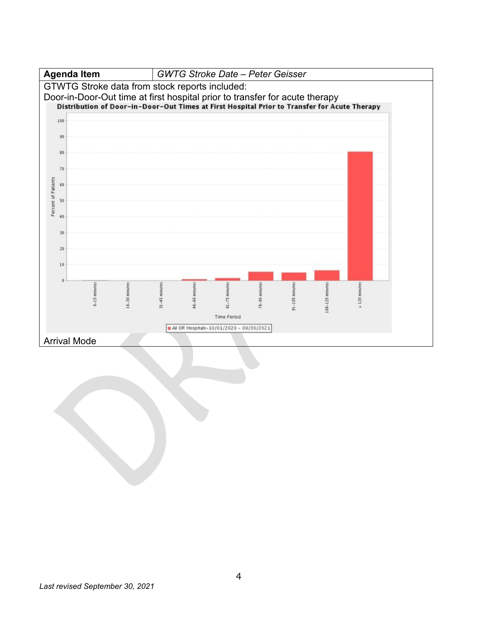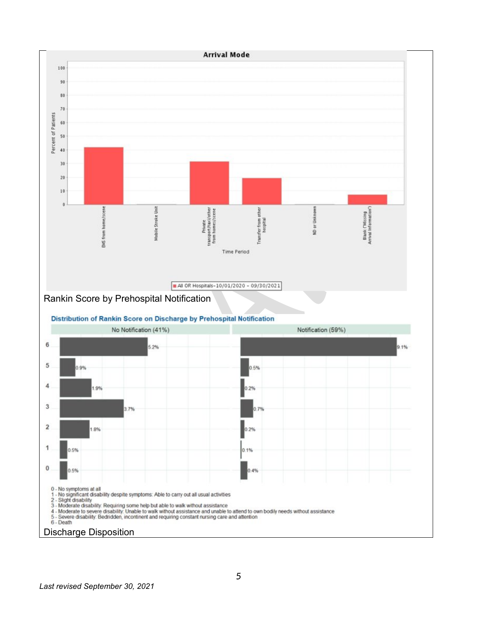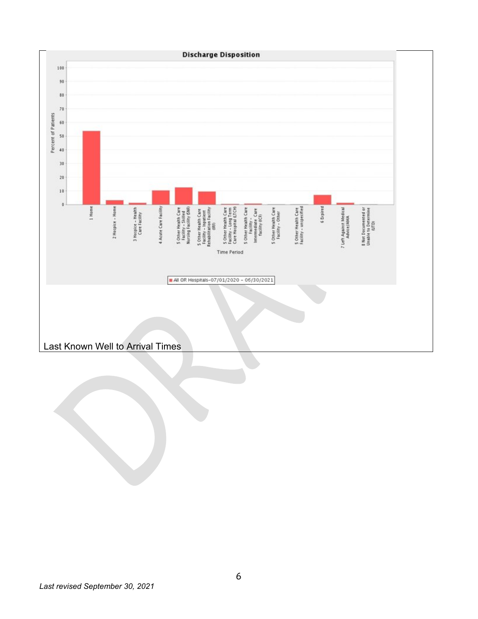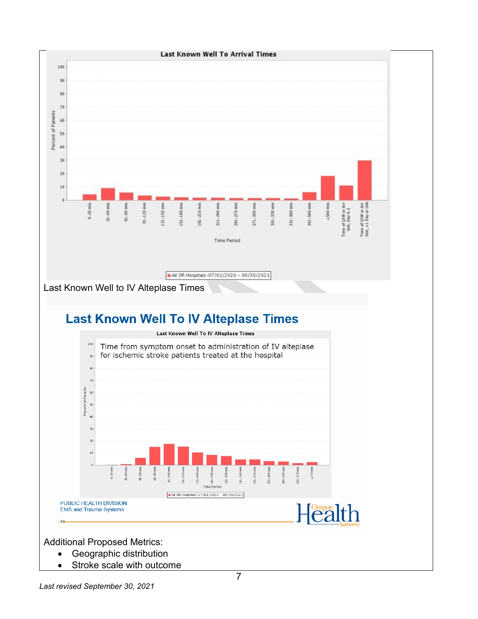



Additional Proposed Metrics:

- Geographic distribution
- Stroke scale with outcome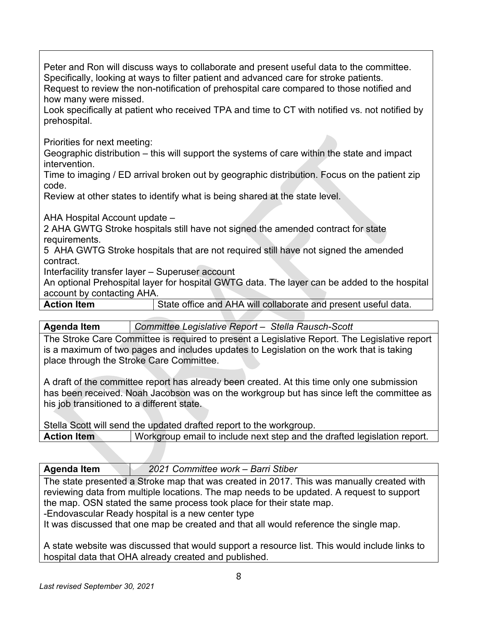Peter and Ron will discuss ways to collaborate and present useful data to the committee. Specifically, looking at ways to filter patient and advanced care for stroke patients. Request to review the non-notification of prehospital care compared to those notified and how many were missed.

Look specifically at patient who received TPA and time to CT with notified vs. not notified by prehospital.

Priorities for next meeting:

Geographic distribution – this will support the systems of care within the state and impact intervention.

Time to imaging / ED arrival broken out by geographic distribution. Focus on the patient zip code.

Review at other states to identify what is being shared at the state level.

AHA Hospital Account update –

2 AHA GWTG Stroke hospitals still have not signed the amended contract for state requirements.

5 AHA GWTG Stroke hospitals that are not required still have not signed the amended contract.

Interfacility transfer layer – Superuser account

An optional Prehospital layer for hospital GWTG data. The layer can be added to the hospital account by contacting AHA.

**Action Item State office and AHA will collaborate and present useful data.** 

**Agenda Item** *Committee Legislative Report – Stella Rausch-Scott* 

The Stroke Care Committee is required to present a Legislative Report. The Legislative report is a maximum of two pages and includes updates to Legislation on the work that is taking place through the Stroke Care Committee.

A draft of the committee report has already been created. At this time only one submission has been received. Noah Jacobson was on the workgroup but has since left the committee as his job transitioned to a different state.

Stella Scott will send the updated drafted report to the workgroup.

**Action Item** | Workgroup email to include next step and the drafted legislation report.

**Agenda Item** *2021 Committee work – Barri Stiber* 

The state presented a Stroke map that was created in 2017. This was manually created with reviewing data from multiple locations. The map needs to be updated. A request to support the map. OSN stated the same process took place for their state map.

-Endovascular Ready hospital is a new center type

It was discussed that one map be created and that all would reference the single map.

A state website was discussed that would support a resource list. This would include links to hospital data that OHA already created and published.